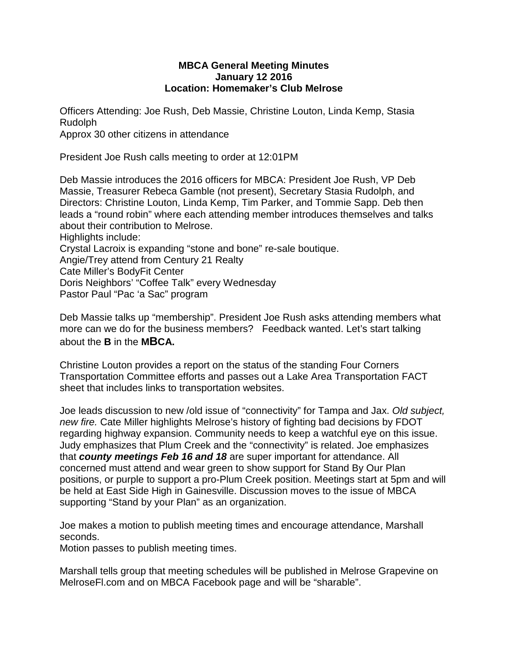## **MBCA General Meeting Minutes January 12 2016 Location: Homemaker's Club Melrose**

Officers Attending: Joe Rush, Deb Massie, Christine Louton, Linda Kemp, Stasia Rudolph

Approx 30 other citizens in attendance

President Joe Rush calls meeting to order at 12:01PM

Deb Massie introduces the 2016 officers for MBCA: President Joe Rush, VP Deb Massie, Treasurer Rebeca Gamble (not present), Secretary Stasia Rudolph, and Directors: Christine Louton, Linda Kemp, Tim Parker, and Tommie Sapp. Deb then leads a "round robin" where each attending member introduces themselves and talks about their contribution to Melrose. Highlights include: Crystal Lacroix is expanding "stone and bone" re-sale boutique. Angie/Trey attend from Century 21 Realty Cate Miller's BodyFit Center Doris Neighbors' "Coffee Talk" every Wednesday Pastor Paul "Pac 'a Sac" program

Deb Massie talks up "membership". President Joe Rush asks attending members what more can we do for the business members? Feedback wanted. Let's start talking about the **B** in the **MBCA.**

Christine Louton provides a report on the status of the standing Four Corners Transportation Committee efforts and passes out a Lake Area Transportation FACT sheet that includes links to transportation websites.

Joe leads discussion to new /old issue of "connectivity" for Tampa and Jax. *Old subject, new fire.* Cate Miller highlights Melrose's history of fighting bad decisions by FDOT regarding highway expansion. Community needs to keep a watchful eye on this issue. Judy emphasizes that Plum Creek and the "connectivity" is related. Joe emphasizes that *county meetings Feb 16 and 18* are super important for attendance. All concerned must attend and wear green to show support for Stand By Our Plan positions, or purple to support a pro-Plum Creek position. Meetings start at 5pm and will be held at East Side High in Gainesville. Discussion moves to the issue of MBCA supporting "Stand by your Plan" as an organization.

Joe makes a motion to publish meeting times and encourage attendance, Marshall seconds.

Motion passes to publish meeting times.

Marshall tells group that meeting schedules will be published in Melrose Grapevine on MelroseFl.com and on MBCA Facebook page and will be "sharable".